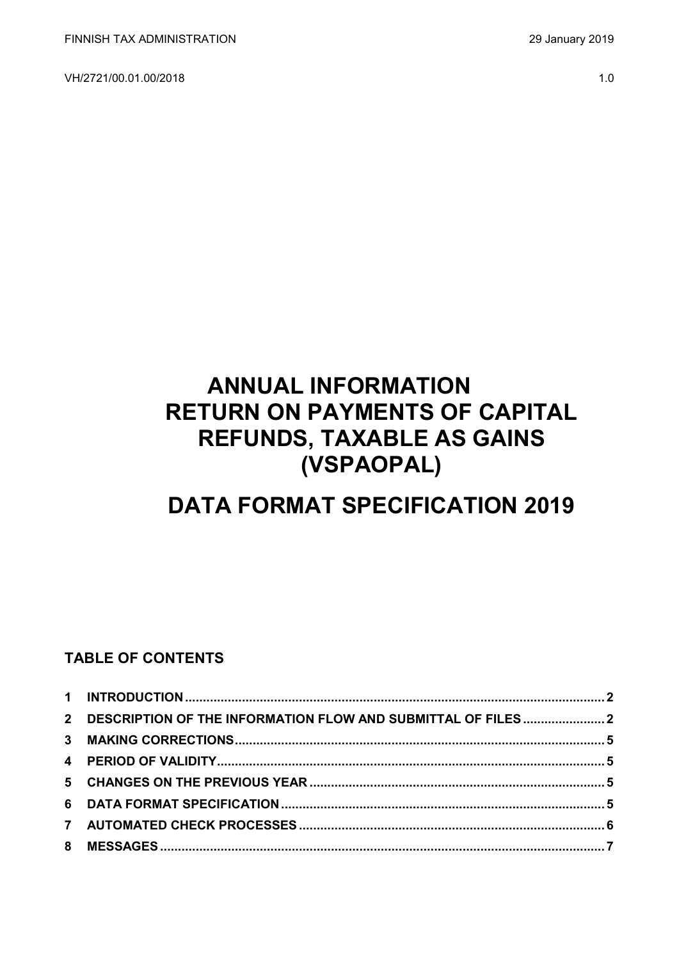VH/2721/00.01.00/2018 1.0

# **ANNUAL INFORMATION RETURN ON PAYMENTS OF CAPITAL REFUNDS, TAXABLE AS GAINS (VSPAOPAL)**

# **DATA FORMAT SPECIFICATION 2019**

### **TABLE OF CONTENTS**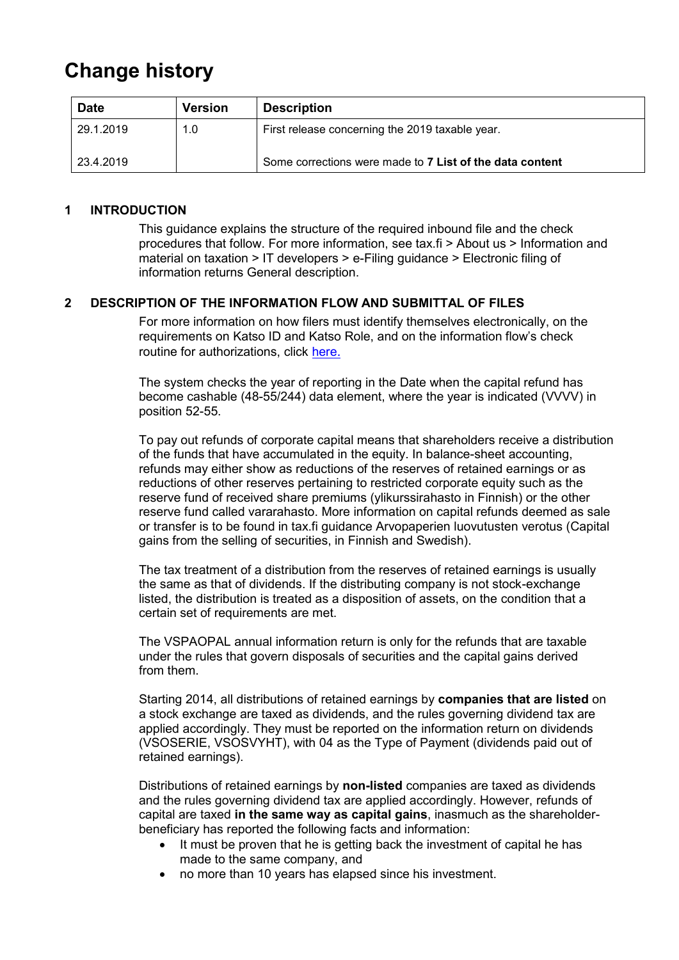## **Change history**

| <b>Date</b> | Version | <b>Description</b>                                       |
|-------------|---------|----------------------------------------------------------|
| 29.1.2019   | 1.0     | First release concerning the 2019 taxable year.          |
| 23.4.2019   |         | Some corrections were made to 7 List of the data content |

#### <span id="page-1-0"></span>**1 INTRODUCTION**

This guidance explains the structure of the required inbound file and the check procedures that follow. For more information, see tax.fi > About us > Information and material on taxation > IT developers > e-Filing guidance > Electronic filing of information returns General description.

#### <span id="page-1-1"></span>**2 DESCRIPTION OF THE INFORMATION FLOW AND SUBMITTAL OF FILES**

For more information on how filers must identify themselves electronically, on the requirements on Katso ID and Katso Role, and on the information flow's check routine for authorizations, click [here](https://www.ilmoitin.fi/webtamo/sivut/IlmoituslajiRoolit?kieli=en&tv=VSPAOPAL).

The system checks the year of reporting in the Date when the capital refund has become cashable (48-55/244) data element, where the year is indicated (VVVV) in position 52-55.

To pay out refunds of corporate capital means that shareholders receive a distribution of the funds that have accumulated in the equity. In balance-sheet accounting, refunds may either show as reductions of the reserves of retained earnings or as reductions of other reserves pertaining to restricted corporate equity such as the reserve fund of received share premiums (ylikurssirahasto in Finnish) or the other reserve fund called vararahasto. More information on capital refunds deemed as sale or transfer is to be found in tax.fi guidance Arvopaperien luovutusten verotus (Capital gains from the selling of securities, in Finnish and Swedish).

The tax treatment of a distribution from the reserves of retained earnings is usually the same as that of dividends. If the distributing company is not stock-exchange listed, the distribution is treated as a disposition of assets, on the condition that a certain set of requirements are met.

The VSPAOPAL annual information return is only for the refunds that are taxable under the rules that govern disposals of securities and the capital gains derived from them.

Starting 2014, all distributions of retained earnings by **companies that are listed** on a stock exchange are taxed as dividends, and the rules governing dividend tax are applied accordingly. They must be reported on the information return on dividends (VSOSERIE, VSOSVYHT), with 04 as the Type of Payment (dividends paid out of retained earnings).

Distributions of retained earnings by **non-listed** companies are taxed as dividends and the rules governing dividend tax are applied accordingly. However, refunds of capital are taxed **in the same way as capital gains**, inasmuch as the shareholderbeneficiary has reported the following facts and information:

- It must be proven that he is getting back the investment of capital he has made to the same company, and
- no more than 10 years has elapsed since his investment.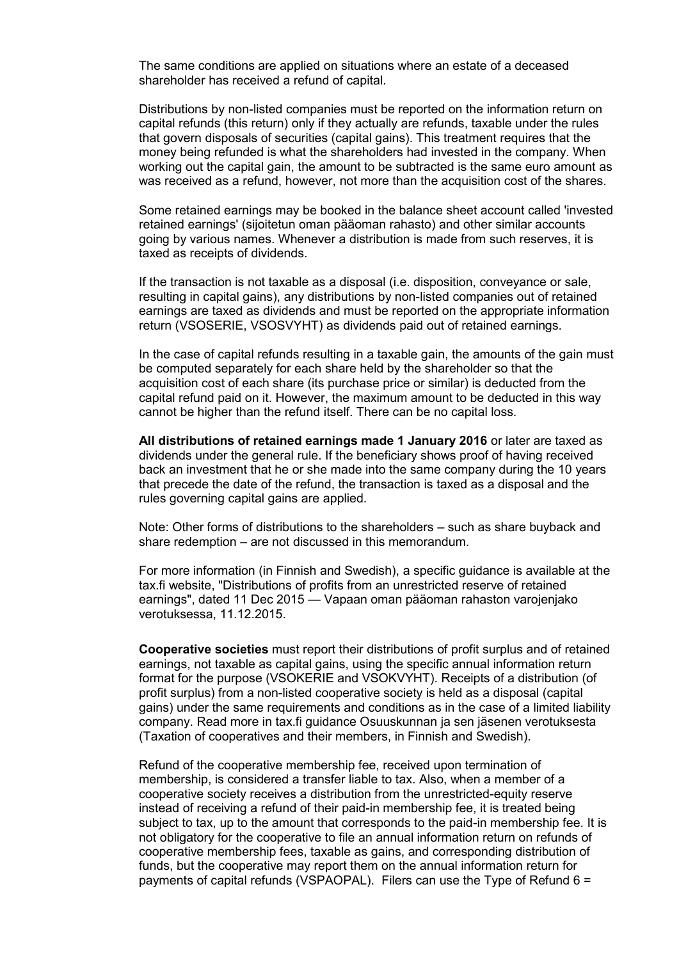The same conditions are applied on situations where an estate of a deceased shareholder has received a refund of capital.

Distributions by non-listed companies must be reported on the information return on capital refunds (this return) only if they actually are refunds, taxable under the rules that govern disposals of securities (capital gains). This treatment requires that the money being refunded is what the shareholders had invested in the company. When working out the capital gain, the amount to be subtracted is the same euro amount as was received as a refund, however, not more than the acquisition cost of the shares.

Some retained earnings may be booked in the balance sheet account called 'invested retained earnings' (sijoitetun oman pääoman rahasto) and other similar accounts going by various names. Whenever a distribution is made from such reserves, it is taxed as receipts of dividends.

If the transaction is not taxable as a disposal (i.e. disposition, conveyance or sale, resulting in capital gains), any distributions by non-listed companies out of retained earnings are taxed as dividends and must be reported on the appropriate information return (VSOSERIE, VSOSVYHT) as dividends paid out of retained earnings.

In the case of capital refunds resulting in a taxable gain, the amounts of the gain must be computed separately for each share held by the shareholder so that the acquisition cost of each share (its purchase price or similar) is deducted from the capital refund paid on it. However, the maximum amount to be deducted in this way cannot be higher than the refund itself. There can be no capital loss.

**All distributions of retained earnings made 1 January 2016** or later are taxed as dividends under the general rule. If the beneficiary shows proof of having received back an investment that he or she made into the same company during the 10 years that precede the date of the refund, the transaction is taxed as a disposal and the rules governing capital gains are applied.

Note: Other forms of distributions to the shareholders – such as share buyback and share redemption – are not discussed in this memorandum.

For more information (in Finnish and Swedish), a specific guidance is available at the tax.fi website, "Distributions of profits from an unrestricted reserve of retained earnings", dated 11 Dec 2015 — Vapaan oman pääoman rahaston varojenjako verotuksessa, 11.12.2015.

**Cooperative societies** must report their distributions of profit surplus and of retained earnings, not taxable as capital gains, using the specific annual information return format for the purpose (VSOKERIE and VSOKVYHT). Receipts of a distribution (of profit surplus) from a non-listed cooperative society is held as a disposal (capital gains) under the same requirements and conditions as in the case of a limited liability company. Read more in tax.fi guidance Osuuskunnan ja sen jäsenen verotuksesta (Taxation of cooperatives and their members, in Finnish and Swedish).

Refund of the cooperative membership fee, received upon termination of membership, is considered a transfer liable to tax. Also, when a member of a cooperative society receives a distribution from the unrestricted-equity reserve instead of receiving a refund of their paid-in membership fee, it is treated being subject to tax, up to the amount that corresponds to the paid-in membership fee. It is not obligatory for the cooperative to file an annual information return on refunds of cooperative membership fees, taxable as gains, and corresponding distribution of funds, but the cooperative may report them on the annual information return for payments of capital refunds (VSPAOPAL). Filers can use the Type of Refund 6 =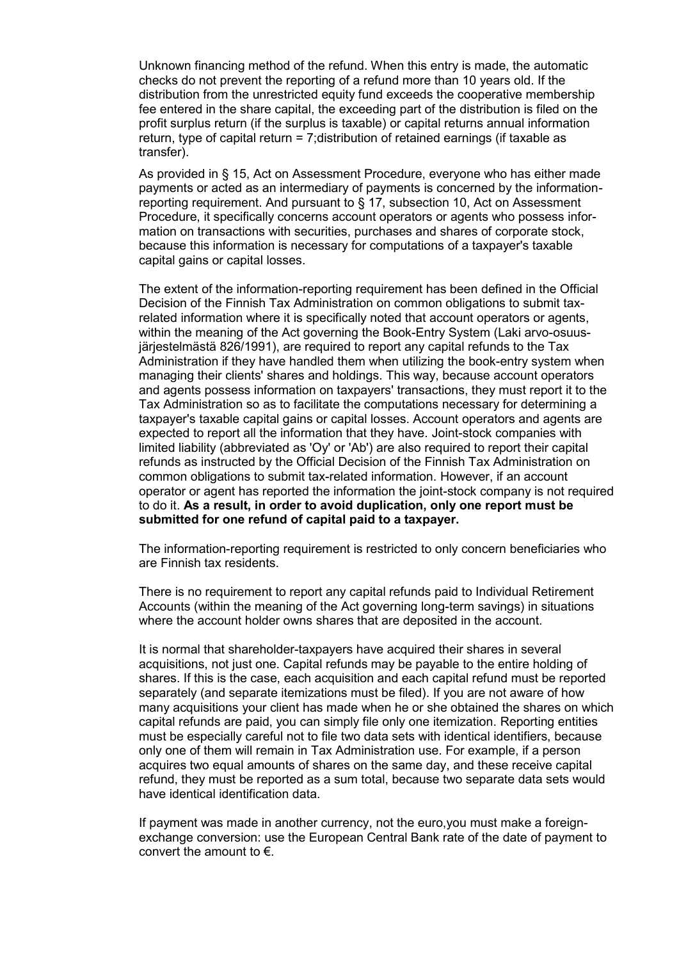Unknown financing method of the refund. When this entry is made, the automatic checks do not prevent the reporting of a refund more than 10 years old. If the distribution from the unrestricted equity fund exceeds the cooperative membership fee entered in the share capital, the exceeding part of the distribution is filed on the profit surplus return (if the surplus is taxable) or capital returns annual information return, type of capital return = 7;distribution of retained earnings (if taxable as transfer).

As provided in § 15, Act on Assessment Procedure, everyone who has either made payments or acted as an intermediary of payments is concerned by the informationreporting requirement. And pursuant to § 17, subsection 10, Act on Assessment Procedure, it specifically concerns account operators or agents who possess information on transactions with securities, purchases and shares of corporate stock, because this information is necessary for computations of a taxpayer's taxable capital gains or capital losses.

The extent of the information-reporting requirement has been defined in the Official Decision of the Finnish Tax Administration on common obligations to submit taxrelated information where it is specifically noted that account operators or agents, within the meaning of the Act governing the Book-Entry System (Laki arvo-osuusjärjestelmästä 826/1991), are required to report any capital refunds to the Tax Administration if they have handled them when utilizing the book-entry system when managing their clients' shares and holdings. This way, because account operators and agents possess information on taxpayers' transactions, they must report it to the Tax Administration so as to facilitate the computations necessary for determining a taxpayer's taxable capital gains or capital losses. Account operators and agents are expected to report all the information that they have. Joint-stock companies with limited liability (abbreviated as 'Oy' or 'Ab') are also required to report their capital refunds as instructed by the Official Decision of the Finnish Tax Administration on common obligations to submit tax-related information. However, if an account operator or agent has reported the information the joint-stock company is not required to do it. **As a result, in order to avoid duplication, only one report must be submitted for one refund of capital paid to a taxpayer.**

The information-reporting requirement is restricted to only concern beneficiaries who are Finnish tax residents.

There is no requirement to report any capital refunds paid to Individual Retirement Accounts (within the meaning of the Act governing long-term savings) in situations where the account holder owns shares that are deposited in the account.

It is normal that shareholder-taxpayers have acquired their shares in several acquisitions, not just one. Capital refunds may be payable to the entire holding of shares. If this is the case, each acquisition and each capital refund must be reported separately (and separate itemizations must be filed). If you are not aware of how many acquisitions your client has made when he or she obtained the shares on which capital refunds are paid, you can simply file only one itemization. Reporting entities must be especially careful not to file two data sets with identical identifiers, because only one of them will remain in Tax Administration use. For example, if a person acquires two equal amounts of shares on the same day, and these receive capital refund, they must be reported as a sum total, because two separate data sets would have identical identification data.

If payment was made in another currency, not the euro,you must make a foreignexchange conversion: use the European Central Bank rate of the date of payment to convert the amount to  $\epsilon$ .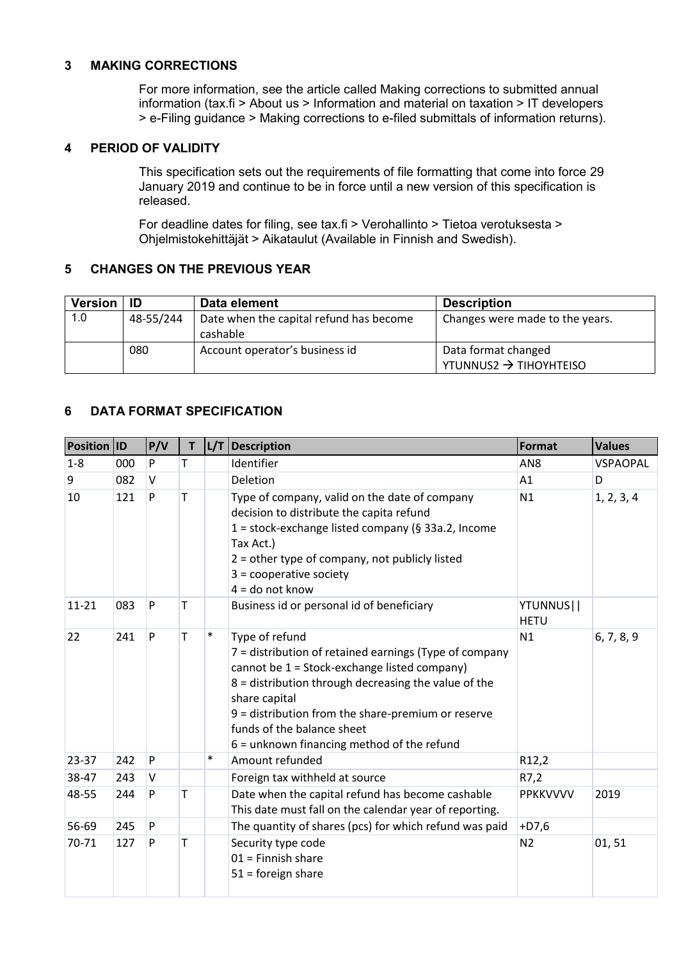#### <span id="page-4-0"></span>**3 MAKING CORRECTIONS**

For more information, see the article called Making corrections to submitted annual information (tax.fi > About us > Information and material on taxation > IT developers > e-Filing guidance > Making corrections to e-filed submittals of information returns).

#### <span id="page-4-1"></span>**4 PERIOD OF VALIDITY**

This specification sets out the requirements of file formatting that come into force 29 January 2019 and continue to be in force until a new version of this specification is released.

For deadline dates for filing, see tax.fi > Verohallinto > Tietoa verotuksesta > Ohjelmistokehittäjät > Aikataulut (Available in Finnish and Swedish).

#### <span id="page-4-2"></span>**5 CHANGES ON THE PREVIOUS YEAR**

| <b>Version</b> | ID        | Data element                                        | <b>Description</b>                                        |
|----------------|-----------|-----------------------------------------------------|-----------------------------------------------------------|
| 1.0            | 48-55/244 | Date when the capital refund has become<br>cashable | Changes were made to the years.                           |
|                | 080       | Account operator's business id                      | Data format changed<br>YTUNNUS2 $\rightarrow$ TIHOYHTEISO |

#### <span id="page-4-3"></span>**6 DATA FORMAT SPECIFICATION**

| <b>Position ID</b> |     | P/V | T | L/T    | Description                                                                                                                                                                                                                                                                                                                           | Format                   | <b>Values</b>   |
|--------------------|-----|-----|---|--------|---------------------------------------------------------------------------------------------------------------------------------------------------------------------------------------------------------------------------------------------------------------------------------------------------------------------------------------|--------------------------|-----------------|
| $1 - 8$            | 000 | P   | т |        | Identifier                                                                                                                                                                                                                                                                                                                            | AN <sub>8</sub>          | <b>VSPAOPAL</b> |
| 9                  | 082 | V   |   |        | Deletion                                                                                                                                                                                                                                                                                                                              | A1                       | D               |
| 10                 | 121 | P   | T |        | Type of company, valid on the date of company<br>decision to distribute the capita refund<br>1 = stock-exchange listed company (§ 33a.2, Income<br>Tax Act.)<br>$2 =$ other type of company, not publicly listed<br>$3 =$ cooperative society<br>$4 =$ do not know                                                                    | N1                       | 1, 2, 3, 4      |
| $11 - 21$          | 083 | P   | т |        | Business id or personal id of beneficiary                                                                                                                                                                                                                                                                                             | YTUNNUS  <br><b>HETU</b> |                 |
| 22                 | 241 | P   | Т | $\ast$ | Type of refund<br>7 = distribution of retained earnings (Type of company<br>cannot be 1 = Stock-exchange listed company)<br>8 = distribution through decreasing the value of the<br>share capital<br>$9$ = distribution from the share-premium or reserve<br>funds of the balance sheet<br>6 = unknown financing method of the refund | N1                       | 6, 7, 8, 9      |
| 23-37              | 242 | P   |   | $\ast$ | Amount refunded                                                                                                                                                                                                                                                                                                                       | R12,2                    |                 |
| 38-47              | 243 | V   |   |        | Foreign tax withheld at source                                                                                                                                                                                                                                                                                                        | R7,2                     |                 |
| 48-55              | 244 | P   | т |        | Date when the capital refund has become cashable<br>This date must fall on the calendar year of reporting.                                                                                                                                                                                                                            | <b>PPKKVVVV</b>          | 2019            |
| 56-69              | 245 | P   |   |        | The quantity of shares (pcs) for which refund was paid                                                                                                                                                                                                                                                                                | $+D7,6$                  |                 |
| 70-71              | 127 | P   | т |        | Security type code<br>$01$ = Finnish share<br>$51 =$ foreign share                                                                                                                                                                                                                                                                    | N <sub>2</sub>           | 01,51           |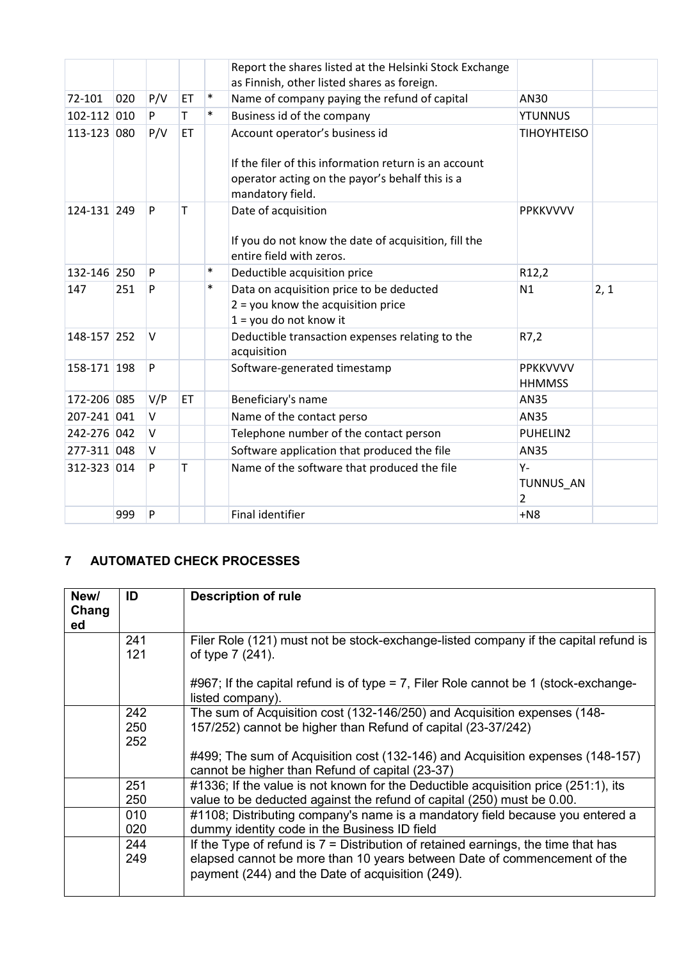|             |     |        |    |        | Report the shares listed at the Helsinki Stock Exchange<br>as Finnish, other listed shares as foreign.                                                         |                                      |      |
|-------------|-----|--------|----|--------|----------------------------------------------------------------------------------------------------------------------------------------------------------------|--------------------------------------|------|
| 72-101      | 020 | P/V    | ET | $\ast$ | Name of company paying the refund of capital                                                                                                                   | AN30                                 |      |
| 102-112 010 |     | P.     | T  | $\ast$ | Business id of the company                                                                                                                                     | <b>YTUNNUS</b>                       |      |
| 113-123 080 |     | P/V    | ET |        | Account operator's business id<br>If the filer of this information return is an account<br>operator acting on the payor's behalf this is a<br>mandatory field. | <b>TIHOYHTEISO</b>                   |      |
| 124-131 249 |     | P      | т  |        | Date of acquisition<br>If you do not know the date of acquisition, fill the<br>entire field with zeros.                                                        | <b>PPKKVVVV</b>                      |      |
| 132-146 250 |     | P      |    | $\ast$ | Deductible acquisition price                                                                                                                                   | R12,2                                |      |
| 147         | 251 | P      |    | $\ast$ | Data on acquisition price to be deducted<br>$2 =$ you know the acquisition price<br>$1 =$ you do not know it                                                   | N1                                   | 2, 1 |
| 148-157 252 |     | V      |    |        | Deductible transaction expenses relating to the<br>acquisition                                                                                                 | R7,2                                 |      |
| 158-171 198 |     | P      |    |        | Software-generated timestamp                                                                                                                                   | <b>PPKKVVVV</b><br><b>HHMMSS</b>     |      |
| 172-206 085 |     | V/P    | ET |        | Beneficiary's name                                                                                                                                             | AN35                                 |      |
| 207-241 041 |     | $\vee$ |    |        | Name of the contact perso                                                                                                                                      | <b>AN35</b>                          |      |
| 242-276 042 |     | $\vee$ |    |        | Telephone number of the contact person                                                                                                                         | PUHELIN2                             |      |
| 277-311 048 |     | $\vee$ |    |        | Software application that produced the file                                                                                                                    | AN35                                 |      |
| 312-323 014 |     | P      | T  |        | Name of the software that produced the file                                                                                                                    | $Y -$<br>TUNNUS_AN<br>$\overline{2}$ |      |
|             | 999 | P      |    |        | Final identifier                                                                                                                                               | $+N8$                                |      |

### <span id="page-5-0"></span>**7 AUTOMATED CHECK PROCESSES**

| New/<br>Chang<br>ed | ID         | <b>Description of rule</b>                                                                                                        |
|---------------------|------------|-----------------------------------------------------------------------------------------------------------------------------------|
|                     | 241<br>121 | Filer Role (121) must not be stock-exchange-listed company if the capital refund is<br>of type 7 (241).                           |
|                     |            | #967; If the capital refund is of type = 7, Filer Role cannot be 1 (stock-exchange-<br>listed company).                           |
|                     | 242        | The sum of Acquisition cost (132-146/250) and Acquisition expenses (148-                                                          |
|                     | 250        | 157/252) cannot be higher than Refund of capital (23-37/242)                                                                      |
|                     | 252        |                                                                                                                                   |
|                     |            | #499; The sum of Acquisition cost (132-146) and Acquisition expenses (148-157)<br>cannot be higher than Refund of capital (23-37) |
|                     | 251        | #1336; If the value is not known for the Deductible acquisition price (251:1), its                                                |
|                     | 250        | value to be deducted against the refund of capital (250) must be 0.00.                                                            |
|                     | 010        | #1108; Distributing company's name is a mandatory field because you entered a                                                     |
|                     | 020        | dummy identity code in the Business ID field                                                                                      |
|                     | 244        | If the Type of refund is $7 =$ Distribution of retained earnings, the time that has                                               |
|                     | 249        | elapsed cannot be more than 10 years between Date of commencement of the<br>payment (244) and the Date of acquisition (249).      |